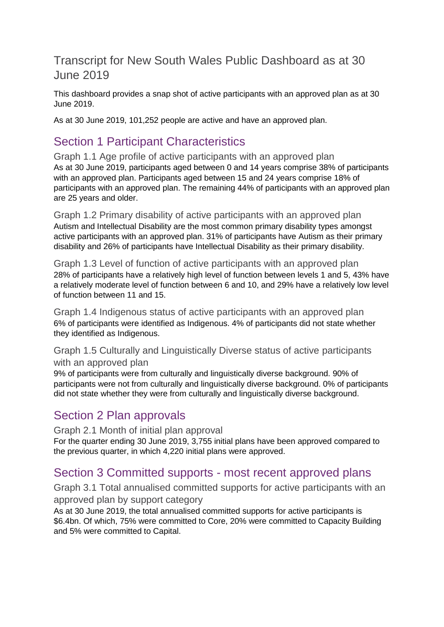#### Transcript for New South Wales Public Dashboard as at 30 June 2019

This dashboard provides a snap shot of active participants with an approved plan as at 30 June 2019.

As at 30 June 2019, 101,252 people are active and have an approved plan.

# Section 1 Participant Characteristics

Graph 1.1 Age profile of active participants with an approved plan As at 30 June 2019, participants aged between 0 and 14 years comprise 38% of participants with an approved plan. Participants aged between 15 and 24 years comprise 18% of participants with an approved plan. The remaining 44% of participants with an approved plan are 25 years and older.

Graph 1.2 Primary disability of active participants with an approved plan Autism and Intellectual Disability are the most common primary disability types amongst active participants with an approved plan. 31% of participants have Autism as their primary disability and 26% of participants have Intellectual Disability as their primary disability.

Graph 1.3 Level of function of active participants with an approved plan 28% of participants have a relatively high level of function between levels 1 and 5, 43% have a relatively moderate level of function between 6 and 10, and 29% have a relatively low level of function between 11 and 15.

Graph 1.4 Indigenous status of active participants with an approved plan 6% of participants were identified as Indigenous. 4% of participants did not state whether they identified as Indigenous.

#### Graph 1.5 Culturally and Linguistically Diverse status of active participants with an approved plan

9% of participants were from culturally and linguistically diverse background. 90% of participants were not from culturally and linguistically diverse background. 0% of participants did not state whether they were from culturally and linguistically diverse background.

### Section 2 Plan approvals

Graph 2.1 Month of initial plan approval For the quarter ending 30 June 2019, 3,755 initial plans have been approved compared to the previous quarter, in which 4,220 initial plans were approved.

### Section 3 Committed supports - most recent approved plans

Graph 3.1 Total annualised committed supports for active participants with an approved plan by support category

As at 30 June 2019, the total annualised committed supports for active participants is \$6.4bn. Of which, 75% were committed to Core, 20% were committed to Capacity Building and 5% were committed to Capital.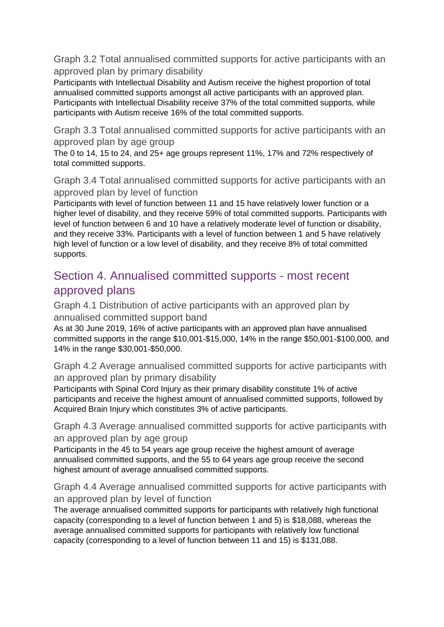Graph 3.2 Total annualised committed supports for active participants with an approved plan by primary disability

Participants with Intellectual Disability and Autism receive the highest proportion of total annualised committed supports amongst all active participants with an approved plan. Participants with Intellectual Disability receive 37% of the total committed supports, while participants with Autism receive 16% of the total committed supports.

Graph 3.3 Total annualised committed supports for active participants with an approved plan by age group

The 0 to 14, 15 to 24, and 25+ age groups represent 11%, 17% and 72% respectively of total committed supports.

Graph 3.4 Total annualised committed supports for active participants with an approved plan by level of function

Participants with level of function between 11 and 15 have relatively lower function or a higher level of disability, and they receive 59% of total committed supports. Participants with level of function between 6 and 10 have a relatively moderate level of function or disability, and they receive 33%. Participants with a level of function between 1 and 5 have relatively high level of function or a low level of disability, and they receive 8% of total committed supports.

# Section 4. Annualised committed supports - most recent approved plans

Graph 4.1 Distribution of active participants with an approved plan by annualised committed support band

As at 30 June 2019, 16% of active participants with an approved plan have annualised committed supports in the range \$10,001-\$15,000, 14% in the range \$50,001-\$100,000, and 14% in the range \$30,001-\$50,000.

Graph 4.2 Average annualised committed supports for active participants with an approved plan by primary disability

Participants with Spinal Cord Injury as their primary disability constitute 1% of active participants and receive the highest amount of annualised committed supports, followed by Acquired Brain Injury which constitutes 3% of active participants.

Graph 4.3 Average annualised committed supports for active participants with an approved plan by age group

Participants in the 45 to 54 years age group receive the highest amount of average annualised committed supports, and the 55 to 64 years age group receive the second highest amount of average annualised committed supports.

Graph 4.4 Average annualised committed supports for active participants with an approved plan by level of function

The average annualised committed supports for participants with relatively high functional capacity (corresponding to a level of function between 1 and 5) is \$18,088, whereas the average annualised committed supports for participants with relatively low functional capacity (corresponding to a level of function between 11 and 15) is \$131,088.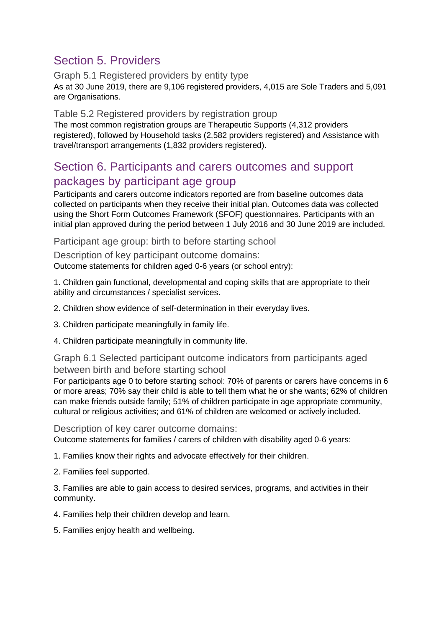# Section 5. Providers

Graph 5.1 Registered providers by entity type As at 30 June 2019, there are 9,106 registered providers, 4,015 are Sole Traders and 5,091 are Organisations.

#### Table 5.2 Registered providers by registration group

The most common registration groups are Therapeutic Supports (4,312 providers registered), followed by Household tasks (2,582 providers registered) and Assistance with travel/transport arrangements (1,832 providers registered).

#### Section 6. Participants and carers outcomes and support packages by participant age group

Participants and carers outcome indicators reported are from baseline outcomes data collected on participants when they receive their initial plan. Outcomes data was collected using the Short Form Outcomes Framework (SFOF) questionnaires. Participants with an initial plan approved during the period between 1 July 2016 and 30 June 2019 are included.

Participant age group: birth to before starting school

Description of key participant outcome domains: Outcome statements for children aged 0-6 years (or school entry):

1. Children gain functional, developmental and coping skills that are appropriate to their ability and circumstances / specialist services.

2. Children show evidence of self-determination in their everyday lives.

3. Children participate meaningfully in family life.

4. Children participate meaningfully in community life.

Graph 6.1 Selected participant outcome indicators from participants aged between birth and before starting school

For participants age 0 to before starting school: 70% of parents or carers have concerns in 6 or more areas; 70% say their child is able to tell them what he or she wants; 62% of children can make friends outside family; 51% of children participate in age appropriate community, cultural or religious activities; and 61% of children are welcomed or actively included.

Description of key carer outcome domains:

Outcome statements for families / carers of children with disability aged 0-6 years:

1. Families know their rights and advocate effectively for their children.

2. Families feel supported.

3. Families are able to gain access to desired services, programs, and activities in their community.

4. Families help their children develop and learn.

5. Families enjoy health and wellbeing.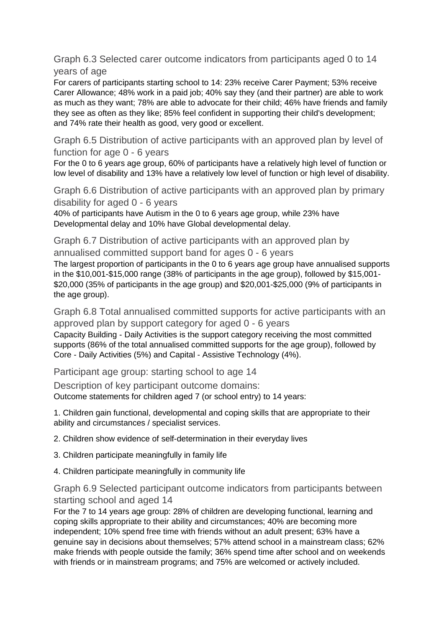Graph 6.3 Selected carer outcome indicators from participants aged 0 to 14 years of age

For carers of participants starting school to 14: 23% receive Carer Payment; 53% receive Carer Allowance; 48% work in a paid job; 40% say they (and their partner) are able to work as much as they want; 78% are able to advocate for their child; 46% have friends and family they see as often as they like; 85% feel confident in supporting their child's development; and 74% rate their health as good, very good or excellent.

Graph 6.5 Distribution of active participants with an approved plan by level of function for age 0 - 6 years

For the 0 to 6 years age group, 60% of participants have a relatively high level of function or low level of disability and 13% have a relatively low level of function or high level of disability.

Graph 6.6 Distribution of active participants with an approved plan by primary disability for aged 0 - 6 years

40% of participants have Autism in the 0 to 6 years age group, while 23% have Developmental delay and 10% have Global developmental delay.

Graph 6.7 Distribution of active participants with an approved plan by annualised committed support band for ages 0 - 6 years

The largest proportion of participants in the 0 to 6 years age group have annualised supports in the \$10,001-\$15,000 range (38% of participants in the age group), followed by \$15,001- \$20,000 (35% of participants in the age group) and \$20,001-\$25,000 (9% of participants in the age group).

Graph 6.8 Total annualised committed supports for active participants with an approved plan by support category for aged 0 - 6 years Capacity Building - Daily Activities is the support category receiving the most committed

supports (86% of the total annualised committed supports for the age group), followed by Core - Daily Activities (5%) and Capital - Assistive Technology (4%).

Participant age group: starting school to age 14

Description of key participant outcome domains: Outcome statements for children aged 7 (or school entry) to 14 years:

1. Children gain functional, developmental and coping skills that are appropriate to their ability and circumstances / specialist services.

2. Children show evidence of self-determination in their everyday lives

- 3. Children participate meaningfully in family life
- 4. Children participate meaningfully in community life

#### Graph 6.9 Selected participant outcome indicators from participants between starting school and aged 14

For the 7 to 14 years age group: 28% of children are developing functional, learning and coping skills appropriate to their ability and circumstances; 40% are becoming more independent; 10% spend free time with friends without an adult present; 63% have a genuine say in decisions about themselves; 57% attend school in a mainstream class; 62% make friends with people outside the family; 36% spend time after school and on weekends with friends or in mainstream programs; and 75% are welcomed or actively included.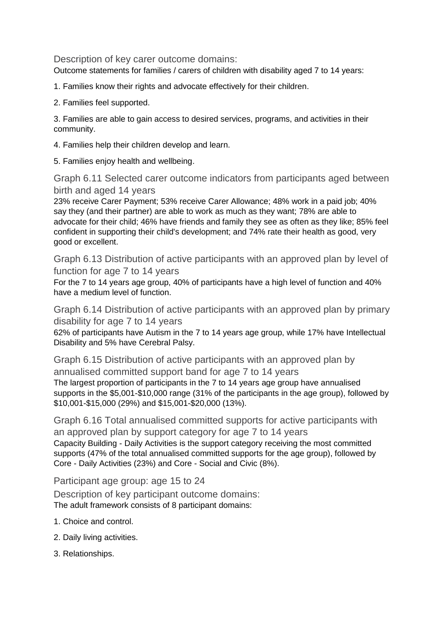Description of key carer outcome domains:

Outcome statements for families / carers of children with disability aged 7 to 14 years:

1. Families know their rights and advocate effectively for their children.

2. Families feel supported.

3. Families are able to gain access to desired services, programs, and activities in their community.

4. Families help their children develop and learn.

5. Families enjoy health and wellbeing.

Graph 6.11 Selected carer outcome indicators from participants aged between birth and aged 14 years

23% receive Carer Payment; 53% receive Carer Allowance; 48% work in a paid job; 40% say they (and their partner) are able to work as much as they want; 78% are able to advocate for their child; 46% have friends and family they see as often as they like; 85% feel confident in supporting their child's development; and 74% rate their health as good, very good or excellent.

Graph 6.13 Distribution of active participants with an approved plan by level of function for age 7 to 14 years

For the 7 to 14 years age group, 40% of participants have a high level of function and 40% have a medium level of function.

Graph 6.14 Distribution of active participants with an approved plan by primary disability for age 7 to 14 years

62% of participants have Autism in the 7 to 14 years age group, while 17% have Intellectual Disability and 5% have Cerebral Palsy.

Graph 6.15 Distribution of active participants with an approved plan by annualised committed support band for age 7 to 14 years The largest proportion of participants in the 7 to 14 years age group have annualised supports in the \$5,001-\$10,000 range (31% of the participants in the age group), followed by \$10,001-\$15,000 (29%) and \$15,001-\$20,000 (13%).

Graph 6.16 Total annualised committed supports for active participants with an approved plan by support category for age 7 to 14 years Capacity Building - Daily Activities is the support category receiving the most committed supports (47% of the total annualised committed supports for the age group), followed by Core - Daily Activities (23%) and Core - Social and Civic (8%).

Participant age group: age 15 to 24

Description of key participant outcome domains: The adult framework consists of 8 participant domains:

- 1. Choice and control.
- 2. Daily living activities.
- 3. Relationships.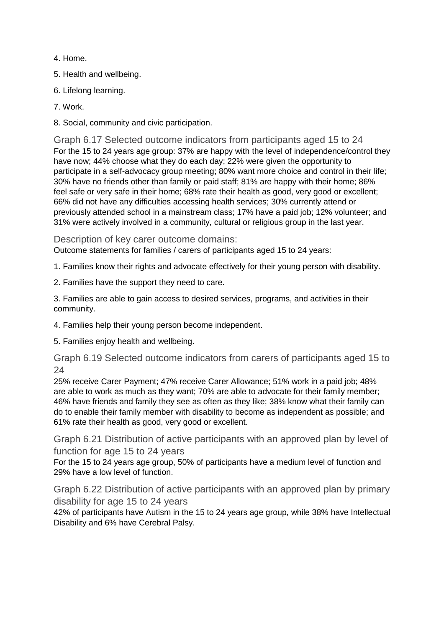- 4. Home.
- 5. Health and wellbeing.
- 6. Lifelong learning.
- 7. Work.
- 8. Social, community and civic participation.

Graph 6.17 Selected outcome indicators from participants aged 15 to 24 For the 15 to 24 years age group: 37% are happy with the level of independence/control they have now; 44% choose what they do each day; 22% were given the opportunity to participate in a self-advocacy group meeting; 80% want more choice and control in their life; 30% have no friends other than family or paid staff; 81% are happy with their home; 86% feel safe or very safe in their home; 68% rate their health as good, very good or excellent; 66% did not have any difficulties accessing health services; 30% currently attend or previously attended school in a mainstream class; 17% have a paid job; 12% volunteer; and 31% were actively involved in a community, cultural or religious group in the last year.

Description of key carer outcome domains:

Outcome statements for families / carers of participants aged 15 to 24 years:

- 1. Families know their rights and advocate effectively for their young person with disability.
- 2. Families have the support they need to care.

3. Families are able to gain access to desired services, programs, and activities in their community.

- 4. Families help their young person become independent.
- 5. Families enjoy health and wellbeing.

Graph 6.19 Selected outcome indicators from carers of participants aged 15 to 24

25% receive Carer Payment; 47% receive Carer Allowance; 51% work in a paid job; 48% are able to work as much as they want; 70% are able to advocate for their family member; 46% have friends and family they see as often as they like; 38% know what their family can do to enable their family member with disability to become as independent as possible; and 61% rate their health as good, very good or excellent.

Graph 6.21 Distribution of active participants with an approved plan by level of function for age 15 to 24 years

For the 15 to 24 years age group, 50% of participants have a medium level of function and 29% have a low level of function.

Graph 6.22 Distribution of active participants with an approved plan by primary disability for age 15 to 24 years

42% of participants have Autism in the 15 to 24 years age group, while 38% have Intellectual Disability and 6% have Cerebral Palsy.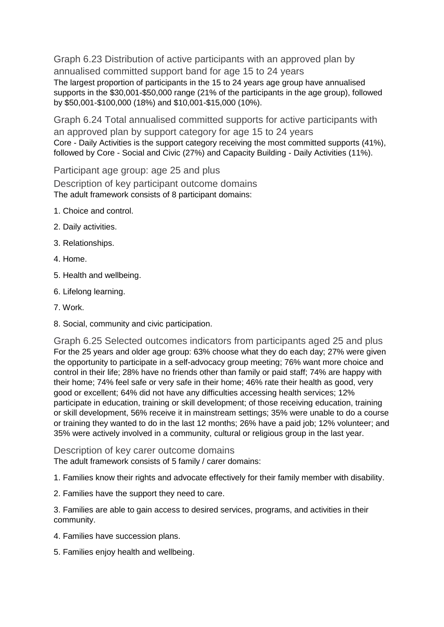Graph 6.23 Distribution of active participants with an approved plan by annualised committed support band for age 15 to 24 years The largest proportion of participants in the 15 to 24 years age group have annualised supports in the \$30,001-\$50,000 range (21% of the participants in the age group), followed by \$50,001-\$100,000 (18%) and \$10,001-\$15,000 (10%).

Graph 6.24 Total annualised committed supports for active participants with an approved plan by support category for age 15 to 24 years Core - Daily Activities is the support category receiving the most committed supports (41%), followed by Core - Social and Civic (27%) and Capacity Building - Daily Activities (11%).

Participant age group: age 25 and plus

Description of key participant outcome domains The adult framework consists of 8 participant domains:

- 1. Choice and control.
- 2. Daily activities.
- 3. Relationships.
- 4. Home.
- 5. Health and wellbeing.
- 6. Lifelong learning.
- 7. Work.
- 8. Social, community and civic participation.

Graph 6.25 Selected outcomes indicators from participants aged 25 and plus For the 25 years and older age group: 63% choose what they do each day; 27% were given the opportunity to participate in a self-advocacy group meeting; 76% want more choice and control in their life; 28% have no friends other than family or paid staff; 74% are happy with their home; 74% feel safe or very safe in their home; 46% rate their health as good, very good or excellent; 64% did not have any difficulties accessing health services; 12% participate in education, training or skill development; of those receiving education, training or skill development, 56% receive it in mainstream settings; 35% were unable to do a course or training they wanted to do in the last 12 months; 26% have a paid job; 12% volunteer; and 35% were actively involved in a community, cultural or religious group in the last year.

Description of key carer outcome domains

The adult framework consists of 5 family / carer domains:

1. Families know their rights and advocate effectively for their family member with disability.

2. Families have the support they need to care.

3. Families are able to gain access to desired services, programs, and activities in their community.

- 4. Families have succession plans.
- 5. Families enjoy health and wellbeing.